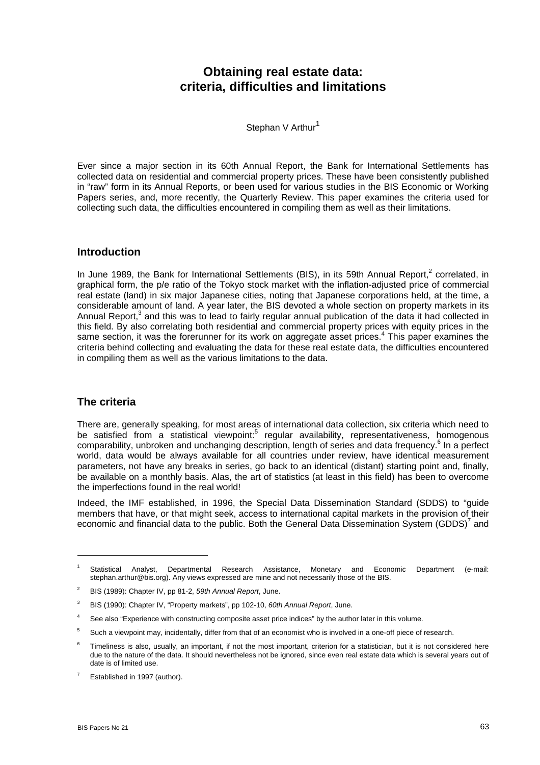## **Obtaining real estate data: criteria, difficulties and limitations**

Stephan V Arthur<sup>1</sup>

Ever since a major section in its 60th Annual Report, the Bank for International Settlements has collected data on residential and commercial property prices. These have been consistently published in "raw" form in its Annual Reports, or been used for various studies in the BIS Economic or Working Papers series, and, more recently, the Quarterly Review. This paper examines the criteria used for collecting such data, the difficulties encountered in compiling them as well as their limitations.

#### **Introduction**

In June 1989, the Bank for International Settlements (BIS), in its 59th Annual Report, $2$  correlated, in graphical form, the p/e ratio of the Tokyo stock market with the inflation-adjusted price of commercial real estate (land) in six major Japanese cities, noting that Japanese corporations held, at the time, a considerable amount of land. A year later, the BIS devoted a whole section on property markets in its Annual Report,<sup>3</sup> and this was to lead to fairly regular annual publication of the data it had collected in this field. By also correlating both residential and commercial property prices with equity prices in the same section, it was the forerunner for its work on aggregate asset prices.<sup>4</sup> This paper examines the criteria behind collecting and evaluating the data for these real estate data, the difficulties encountered in compiling them as well as the various limitations to the data.

### **The criteria**

There are, generally speaking, for most areas of international data collection, six criteria which need to be satisfied from a statistical viewpoint:<sup>5</sup> regular availability, representativeness, homogenous comparability, unbroken and unchanging description, length of series and data frequency.<sup>6</sup> In a perfect world, data would be always available for all countries under review, have identical measurement parameters, not have any breaks in series, go back to an identical (distant) starting point and, finally, be available on a monthly basis. Alas, the art of statistics (at least in this field) has been to overcome the imperfections found in the real world!

Indeed, the IMF established, in 1996, the Special Data Dissemination Standard (SDDS) to "guide members that have, or that might seek, access to international capital markets in the provision of their economic and financial data to the public. Both the General Data Dissemination System (GDDS)<sup>7</sup> and

 $\overline{a}$ 

<sup>1</sup> Statistical Analyst, Departmental Research Assistance, Monetary and Economic Department (e-mail: stephan.arthur@bis.org). Any views expressed are mine and not necessarily those of the BIS.

 $\overline{2}$ BIS (1989): Chapter IV, pp 81-2, *59th Annual Report*, June.

<sup>3</sup> BIS (1990): Chapter IV, "Property markets", pp 102-10, *60th Annual Report*, June.

<sup>4</sup> See also "Experience with constructing composite asset price indices" by the author later in this volume.

<sup>5</sup> Such a viewpoint may, incidentally, differ from that of an economist who is involved in a one-off piece of research.

<sup>6</sup> Timeliness is also, usually, an important, if not the most important, criterion for a statistician, but it is not considered here due to the nature of the data. It should nevertheless not be ignored, since even real estate data which is several years out of date is of limited use.

<sup>7</sup> Established in 1997 (author).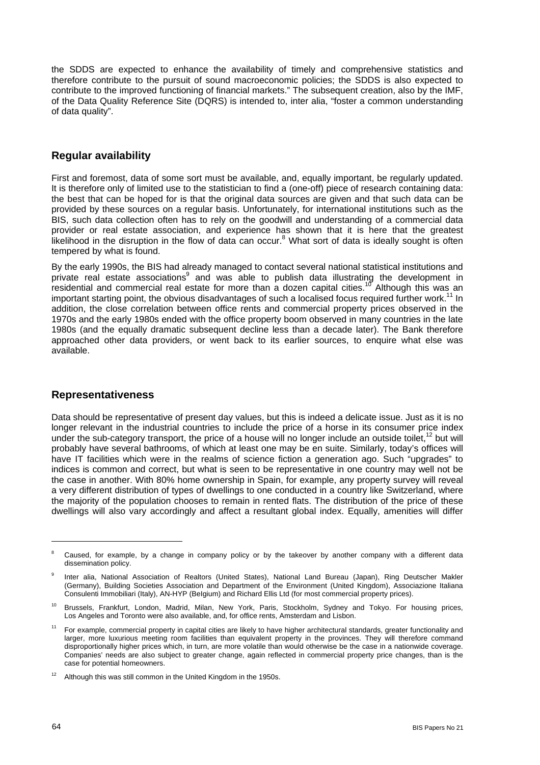the SDDS are expected to enhance the availability of timely and comprehensive statistics and therefore contribute to the pursuit of sound macroeconomic policies; the SDDS is also expected to contribute to the improved functioning of financial markets." The subsequent creation, also by the IMF, of the Data Quality Reference Site (DQRS) is intended to, inter alia, "foster a common understanding of data quality".

## **Regular availability**

First and foremost, data of some sort must be available, and, equally important, be regularly updated. It is therefore only of limited use to the statistician to find a (one-off) piece of research containing data: the best that can be hoped for is that the original data sources are given and that such data can be provided by these sources on a regular basis. Unfortunately, for international institutions such as the BIS, such data collection often has to rely on the goodwill and understanding of a commercial data provider or real estate association, and experience has shown that it is here that the greatest ikelihood in the disruption in the flow of data can occur.<sup>8</sup> What sort of data is ideally sought is often tempered by what is found.

By the early 1990s, the BIS had already managed to contact several national statistical institutions and private real estate associations<sup>9</sup> and was able to publish data illustrating the development in residential and commercial real estate for more than a dozen capital cities.<sup>10</sup> Although this was an important starting point, the obvious disadvantages of such a localised focus required further work.<sup>11</sup> In addition, the close correlation between office rents and commercial property prices observed in the 1970s and the early 1980s ended with the office property boom observed in many countries in the late 1980s (and the equally dramatic subsequent decline less than a decade later). The Bank therefore approached other data providers, or went back to its earlier sources, to enquire what else was available.

### **Representativeness**

Data should be representative of present day values, but this is indeed a delicate issue. Just as it is no longer relevant in the industrial countries to include the price of a horse in its consumer price index under the sub-category transport, the price of a house will no longer include an outside toilet,<sup>12</sup> but will probably have several bathrooms, of which at least one may be en suite. Similarly, today's offices will have IT facilities which were in the realms of science fiction a generation ago. Such "upgrades" to indices is common and correct, but what is seen to be representative in one country may well not be the case in another. With 80% home ownership in Spain, for example, any property survey will reveal a very different distribution of types of dwellings to one conducted in a country like Switzerland, where the majority of the population chooses to remain in rented flats. The distribution of the price of these dwellings will also vary accordingly and affect a resultant global index. Equally, amenities will differ

<sup>8</sup> Caused, for example, by a change in company policy or by the takeover by another company with a different data dissemination policy.

<sup>9</sup> Inter alia, National Association of Realtors (United States), National Land Bureau (Japan), Ring Deutscher Makler (Germany), Building Societies Association and Department of the Environment (United Kingdom), Associazione Italiana Consulenti Immobiliari (Italy), AN-HYP (BeIgium) and Richard Ellis Ltd (for most commercial property prices).

<sup>&</sup>lt;sup>10</sup> Brussels, Frankfurt, London, Madrid, Milan, New York, Paris, Stockholm, Sydney and Tokyo. For housing prices, Los Angeles and Toronto were also available, and, for office rents, Amsterdam and Lisbon.

<sup>11</sup> For example, commercial property in capital cities are likely to have higher architectural standards, greater functionality and larger, more luxurious meeting room facilities than equivalent property in the provinces. They will therefore command disproportionally higher prices which, in turn, are more volatile than would otherwise be the case in a nationwide coverage. Companies' needs are also subject to greater change, again reflected in commercial property price changes, than is the case for potential homeowners.

 $12$  Although this was still common in the United Kingdom in the 1950s.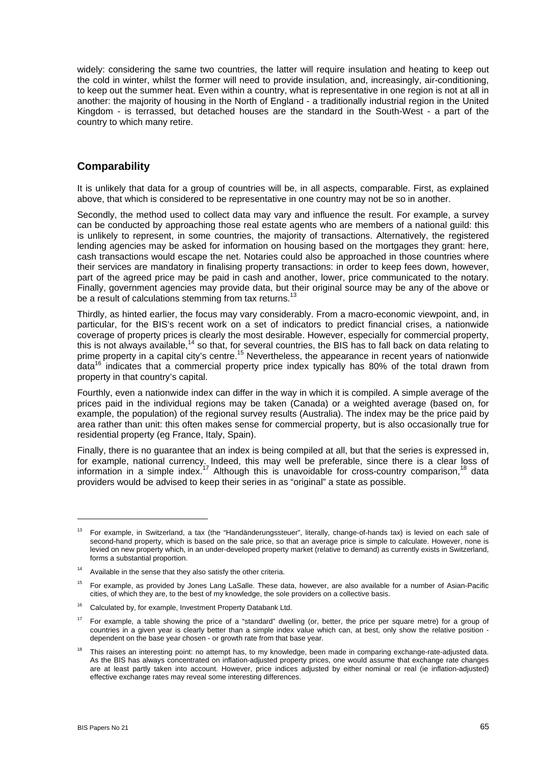widely: considering the same two countries, the latter will require insulation and heating to keep out the cold in winter, whilst the former will need to provide insulation, and, increasingly, air-conditioning, to keep out the summer heat. Even within a country, what is representative in one region is not at all in another: the majority of housing in the North of England - a traditionally industrial region in the United Kingdom - is terrassed, but detached houses are the standard in the South-West - a part of the country to which many retire.

## **Comparability**

It is unlikely that data for a group of countries will be, in all aspects, comparable. First, as explained above, that which is considered to be representative in one country may not be so in another.

Secondly, the method used to collect data may vary and influence the result. For example, a survey can be conducted by approaching those real estate agents who are members of a national guild: this is unlikely to represent, in some countries, the majority of transactions. Alternatively, the registered lending agencies may be asked for information on housing based on the mortgages they grant: here, cash transactions would escape the net. Notaries could also be approached in those countries where their services are mandatory in finalising property transactions: in order to keep fees down, however, part of the agreed price may be paid in cash and another, lower, price communicated to the notary. Finally, government agencies may provide data, but their original source may be any of the above or be a result of calculations stemming from tax returns.<sup>13</sup>

Thirdly, as hinted earlier, the focus may vary considerably. From a macro-economic viewpoint, and, in particular, for the BIS's recent work on a set of indicators to predict financial crises, a nationwide coverage of property prices is clearly the most desirable. However, especially for commercial property, this is not always available,<sup>14</sup> so that, for several countries, the BIS has to fall back on data relating to prime property in a capital city's centre.<sup>15</sup> Nevertheless, the appearance in recent years of nationwide data<sup>16</sup> indicates that a commercial property price index typically has 80% of the total drawn from property in that country's capital.

Fourthly, even a nationwide index can differ in the way in which it is compiled. A simple average of the prices paid in the individual regions may be taken (Canada) or a weighted average (based on, for example, the population) of the regional survey results (Australia). The index may be the price paid by area rather than unit: this often makes sense for commercial property, but is also occasionally true for residential property (eg France, Italy, Spain).

Finally, there is no guarantee that an index is being compiled at all, but that the series is expressed in, for example, national currency. Indeed, this may well be preferable, since there is a clear loss of information in a simple index.<sup>17</sup> Although this is unavoidable for cross-country comparison,<sup>18</sup> data providers would be advised to keep their series in as "original" a state as possible.

<sup>13</sup> For example, in Switzerland, a tax (the "Handänderungssteuer", literally, change-of-hands tax) is levied on each sale of second-hand property, which is based on the sale price, so that an average price is simple to calculate. However, none is levied on new property which, in an under-developed property market (relative to demand) as currently exists in Switzerland, forms a substantial proportion.

 $14$  Available in the sense that they also satisfy the other criteria.

<sup>&</sup>lt;sup>15</sup> For example, as provided by Jones Lang LaSalle. These data, however, are also available for a number of Asian-Pacific cities, of which they are, to the best of my knowledge, the sole providers on a collective basis.

<sup>&</sup>lt;sup>16</sup> Calculated by, for example, Investment Property Databank Ltd.

<sup>&</sup>lt;sup>17</sup> For example, a table showing the price of a "standard" dwelling (or, better, the price per square metre) for a group of countries in a given year is clearly better than a simple index value which can, at best, only show the relative position dependent on the base year chosen - or growth rate from that base year.

 $18$  This raises an interesting point: no attempt has, to my knowledge, been made in comparing exchange-rate-adjusted data. As the BIS has always concentrated on inflation-adjusted property prices, one would assume that exchange rate changes are at least partly taken into account. However, price indices adjusted by either nominal or real (ie inflation-adjusted) effective exchange rates may reveal some interesting differences.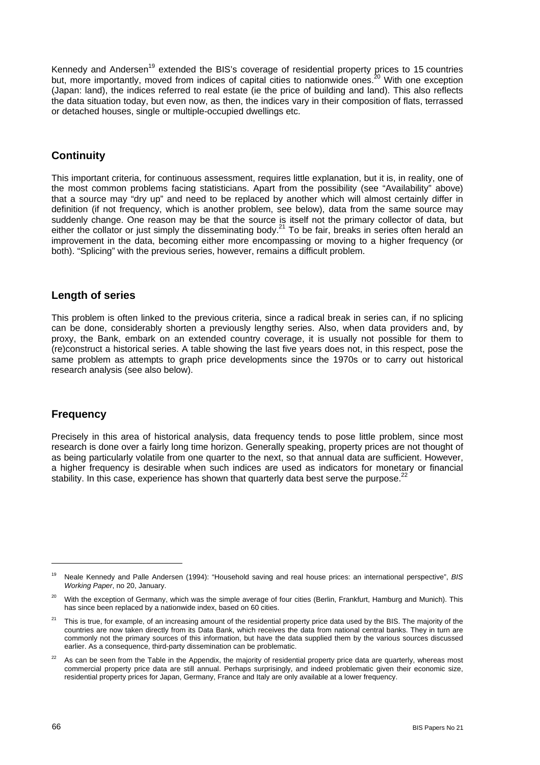Kennedy and Andersen<sup>19</sup> extended the BIS's coverage of residential property prices to 15 countries but, more importantly, moved from indices of capital cities to nationwide ones.<sup>20</sup> With one exception (Japan: land), the indices referred to real estate (ie the price of building and land). This also reflects the data situation today, but even now, as then, the indices vary in their composition of flats, terrassed or detached houses, single or multiple-occupied dwellings etc.

## **Continuity**

This important criteria, for continuous assessment, requires little explanation, but it is, in reality, one of the most common problems facing statisticians. Apart from the possibility (see "Availability" above) that a source may "dry up" and need to be replaced by another which will almost certainly differ in definition (if not frequency, which is another problem, see below), data from the same source may suddenly change. One reason may be that the source is itself not the primary collector of data, but either the collator or just simply the disseminating body.<sup>21</sup> To be fair, breaks in series often herald an improvement in the data, becoming either more encompassing or moving to a higher frequency (or both). "Splicing" with the previous series, however, remains a difficult problem.

#### **Length of series**

This problem is often linked to the previous criteria, since a radical break in series can, if no splicing can be done, considerably shorten a previously lengthy series. Also, when data providers and, by proxy, the Bank, embark on an extended country coverage, it is usually not possible for them to (re)construct a historical series. A table showing the last five years does not, in this respect, pose the same problem as attempts to graph price developments since the 1970s or to carry out historical research analysis (see also below).

### **Frequency**

Precisely in this area of historical analysis, data frequency tends to pose little problem, since most research is done over a fairly long time horizon. Generally speaking, property prices are not thought of as being particularly volatile from one quarter to the next, so that annual data are sufficient. However, a higher frequency is desirable when such indices are used as indicators for monetary or financial stability. In this case, experience has shown that quarterly data best serve the purpose.<sup>2</sup>

<sup>19</sup> Neale Kennedy and Palle Andersen (1994): "Household saving and real house prices: an international perspective", *BIS Working Paper*, no 20, January.

<sup>20</sup> With the exception of Germany, which was the simple average of four cities (Berlin, Frankfurt, Hamburg and Munich). This has since been replaced by a nationwide index, based on 60 cities.

This is true, for example, of an increasing amount of the residential property price data used by the BIS. The majority of the countries are now taken directly from its Data Bank, which receives the data from national central banks. They in turn are commonly not the primary sources of this information, but have the data supplied them by the various sources discussed earlier. As a consequence, third-party dissemination can be problematic.

As can be seen from the Table in the Appendix, the majority of residential property price data are quarterly, whereas most commercial property price data are still annual. Perhaps surprisingly, and indeed problematic given their economic size, residential property prices for Japan, Germany, France and Italy are only available at a lower frequency.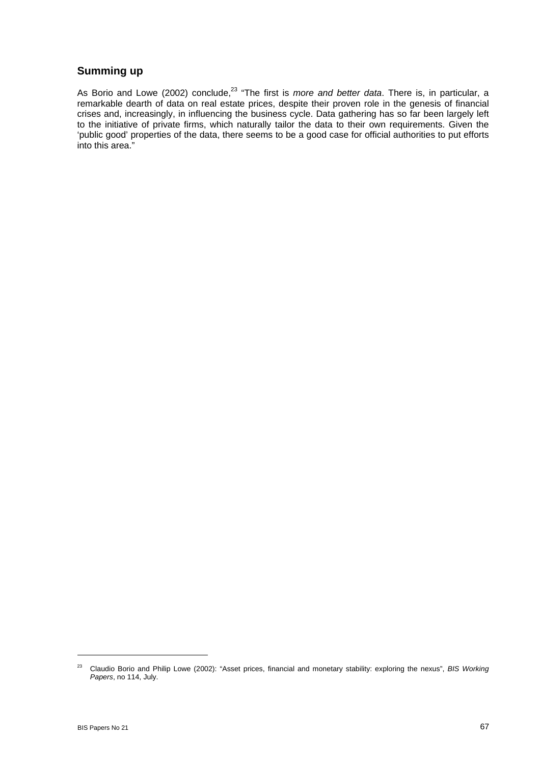## **Summing up**

As Borio and Lowe (2002) conclude,<sup>23</sup> "The first is *more and better data*. There is, in particular, a remarkable dearth of data on real estate prices, despite their proven role in the genesis of financial crises and, increasingly, in influencing the business cycle. Data gathering has so far been largely left to the initiative of private firms, which naturally tailor the data to their own requirements. Given the 'public good' properties of the data, there seems to be a good case for official authorities to put efforts into this area."

<sup>23</sup> Claudio Borio and Philip Lowe (2002): "Asset prices, financial and monetary stability: exploring the nexus", *BIS Working Papers*, no 114, July.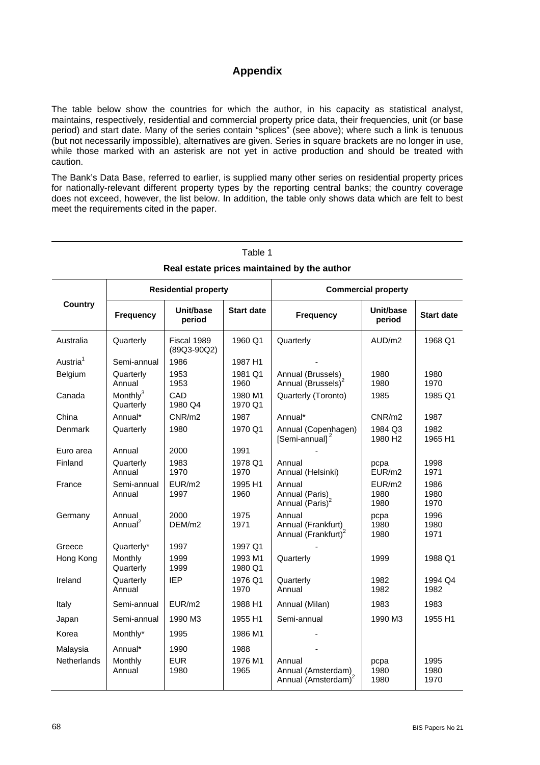## **Appendix**

The table below show the countries for which the author, in his capacity as statistical analyst, maintains, respectively, residential and commercial property price data, their frequencies, unit (or base period) and start date. Many of the series contain "splices" (see above); where such a link is tenuous (but not necessarily impossible), alternatives are given. Series in square brackets are no longer in use, while those marked with an asterisk are not yet in active production and should be treated with caution.

The Bank's Data Base, referred to earlier, is supplied many other series on residential property prices for nationally-relevant different property types by the reporting central banks; the country coverage does not exceed, however, the list below. In addition, the table only shows data which are felt to best meet the requirements cited in the paper.

|                      | <b>Residential property</b>       |                            |                    | <b>Commercial property</b>                                      |                                |                      |  |  |  |  |
|----------------------|-----------------------------------|----------------------------|--------------------|-----------------------------------------------------------------|--------------------------------|----------------------|--|--|--|--|
| <b>Country</b>       | <b>Frequency</b>                  | Unit/base<br>period        | <b>Start date</b>  | Frequency                                                       | Unit/base<br>period            | <b>Start date</b>    |  |  |  |  |
| Australia            | Quarterly                         | Fiscal 1989<br>(89Q3-90Q2) | 1960 Q1            | Quarterly                                                       | AUD/m2                         | 1968 Q1              |  |  |  |  |
| Austria <sup>1</sup> | Semi-annual                       | 1986                       | 1987 H1            |                                                                 |                                |                      |  |  |  |  |
| Belgium              | Quarterly<br>Annual               | 1953<br>1953               | 1981 Q1<br>1960    | Annual (Brussels)<br>Annual (Brussels) <sup>2</sup>             | 1980<br>1980                   | 1980<br>1970         |  |  |  |  |
| Canada               | Monthly <sup>3</sup><br>Quarterly | CAD<br>1980 Q4             | 1980 M1<br>1970 Q1 | Quarterly (Toronto)                                             | 1985                           | 1985 Q1              |  |  |  |  |
| China                | Annual*                           | CNR/m2                     | 1987               | Annual*                                                         | CNR/m2                         | 1987                 |  |  |  |  |
| Denmark              | Quarterly                         | 1980                       | 1970 Q1            | Annual (Copenhagen)<br>[Semi-annual] <sup>2</sup>               | 1984 Q3<br>1980 H <sub>2</sub> | 1982<br>1965 H1      |  |  |  |  |
| Euro area            | Annual                            | 2000                       | 1991               |                                                                 |                                |                      |  |  |  |  |
| Finland              | Quarterly<br>Annual               | 1983<br>1970               | 1978 Q1<br>1970    | Annual<br>Annual (Helsinki)                                     | pcpa<br>EUR/m2                 | 1998<br>1971         |  |  |  |  |
| France               | Semi-annual<br>Annual             | EUR/m2<br>1997             | 1995 H1<br>1960    | Annual<br>Annual (Paris)<br>Annual (Paris) <sup>2</sup>         | EUR/m2<br>1980<br>1980         | 1986<br>1980<br>1970 |  |  |  |  |
| Germany              | Annual<br>Annual <sup>2</sup>     | 2000<br>DEM/m2             | 1975<br>1971       | Annual<br>Annual (Frankfurt)<br>Annual (Frankfurt) <sup>2</sup> | pcpa<br>1980<br>1980           | 1996<br>1980<br>1971 |  |  |  |  |
| Greece               | Quarterly*                        | 1997                       | 1997 Q1            |                                                                 |                                |                      |  |  |  |  |
| Hong Kong            | Monthly<br>Quarterly              | 1999<br>1999               | 1993 M1<br>1980 Q1 | Quarterly                                                       | 1999                           | 1988 Q1              |  |  |  |  |
| Ireland              | Quarterly<br>Annual               | <b>IEP</b>                 | 1976 Q1<br>1970    | Quarterly<br>Annual                                             | 1982<br>1982                   | 1994 Q4<br>1982      |  |  |  |  |
| Italy                | Semi-annual                       | EUR/m2                     | 1988 H1            | Annual (Milan)                                                  | 1983                           | 1983                 |  |  |  |  |
| Japan                | Semi-annual                       | 1990 M3                    | 1955 H1            | Semi-annual                                                     | 1990 M3                        | 1955 H1              |  |  |  |  |
| Korea                | Monthly*                          | 1995                       | 1986 M1            |                                                                 |                                |                      |  |  |  |  |
| Malaysia             | Annual*                           | 1990                       | 1988               |                                                                 |                                |                      |  |  |  |  |
| <b>Netherlands</b>   | Monthly<br>Annual                 | <b>EUR</b><br>1980         | 1976 M1<br>1965    | Annual<br>Annual (Amsterdam)<br>Annual (Amsterdam) <sup>2</sup> | pcpa<br>1980<br>1980           | 1995<br>1980<br>1970 |  |  |  |  |

# Table 1

#### **Real estate prices maintained by the author**